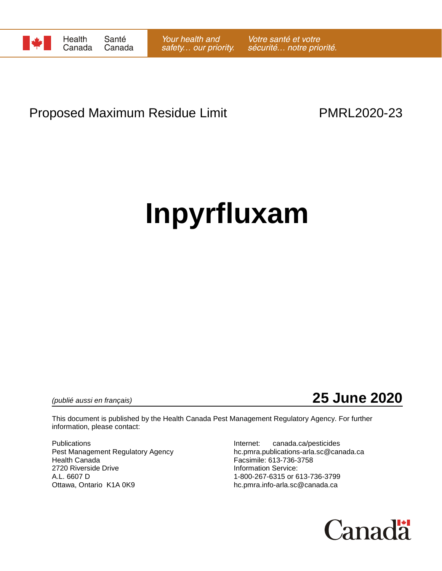

## Proposed Maximum Residue Limit **PMRL2020-23**

# **Inpyrfluxam**

*(publié aussi en français)* **25 June 2020**

This document is published by the Health Canada Pest Management Regulatory Agency. For further information, please contact:

Pest Management Regulatory Agency<br>Health Canada 2720 Riverside Drive **Information Service:**<br>A.L. 6607 D 1-800-267-6315 or 6 Ottawa, Ontario K1A 0K9 https://www.blo.pmra.info-arla.sc@canada.ca

Publications<br>
Pest Management Regulatory Agency<br>
Pest Management Regulatory Agency<br>
The propositions-arla.sc@canada.ca Facsimile: 613-736-3758 1-800-267-6315 or 613-736-3799

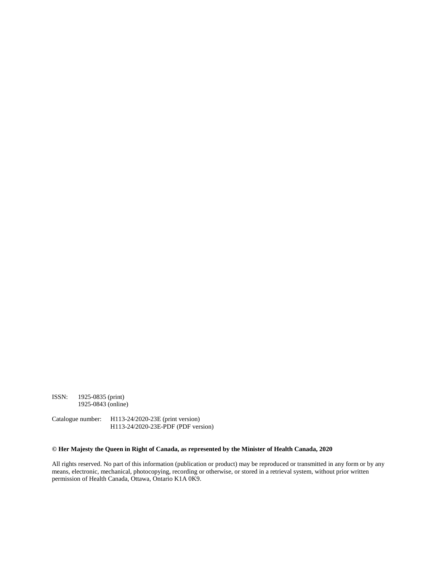ISSN: 1925-0835 (print) 1925-0843 (online)

Catalogue number: H113-24/2020-23E (print version) H113-24/2020-23E-PDF (PDF version)

#### **© Her Majesty the Queen in Right of Canada, as represented by the Minister of Health Canada, 2020**

All rights reserved. No part of this information (publication or product) may be reproduced or transmitted in any form or by any means, electronic, mechanical, photocopying, recording or otherwise, or stored in a retrieval system, without prior written permission of Health Canada, Ottawa, Ontario K1A 0K9.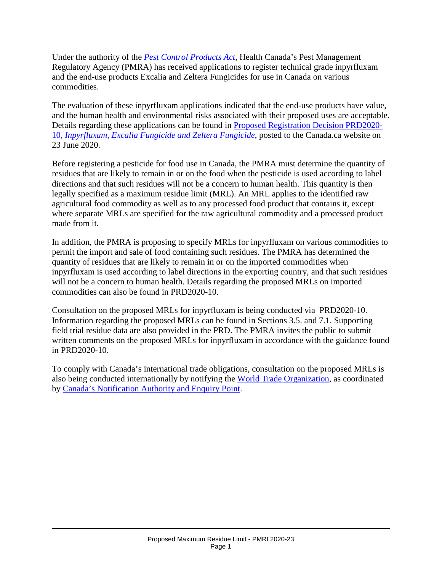Under the authority of the *[Pest Control Products Act](http://laws-lois.justice.gc.ca/eng/acts/P-9.01/)*, Health Canada's Pest Management Regulatory Agency (PMRA) has received applications to register technical grade inpyrfluxam and the end-use products Excalia and Zeltera Fungicides for use in Canada on various commodities.

The evaluation of these inpyrfluxam applications indicated that the end-use products have value, and the human health and environmental risks associated with their proposed uses are acceptable. Details regarding these applications can be found in [Proposed Registration Decision PRD2020-](https://www.canada.ca/en/health-canada/services/consumer-product-safety/pesticides-pest-management/public/consultations.html) 10, *[Inpyrfluxam, Excalia Fungicide and Zeltera Fungicide](https://www.canada.ca/en/health-canada/services/consumer-product-safety/pesticides-pest-management/public/consultations.html)*, posted to the Canada.ca website on 23 June 2020.

Before registering a pesticide for food use in Canada, the PMRA must determine the quantity of residues that are likely to remain in or on the food when the pesticide is used according to label directions and that such residues will not be a concern to human health. This quantity is then legally specified as a maximum residue limit (MRL). An MRL applies to the identified raw agricultural food commodity as well as to any processed food product that contains it, except where separate MRLs are specified for the raw agricultural commodity and a processed product made from it.

In addition, the PMRA is proposing to specify MRLs for inpyrfluxam on various commodities to permit the import and sale of food containing such residues. The PMRA has determined the quantity of residues that are likely to remain in or on the imported commodities when inpyrfluxam is used according to label directions in the exporting country, and that such residues will not be a concern to human health. Details regarding the proposed MRLs on imported commodities can also be found in PRD2020-10.

Consultation on the proposed MRLs for inpyrfluxam is being conducted via PRD2020-10. Information regarding the proposed MRLs can be found in Sections 3.5. and 7.1. Supporting field trial residue data are also provided in the PRD. The PMRA invites the public to submit written comments on the proposed MRLs for inpyrfluxam in accordance with the guidance found in PRD2020-10.

To comply with Canada's international trade obligations, consultation on the proposed MRLs is also being conducted internationally by notifying the [World Trade Organization,](http://www.wto.org/) as coordinated by [Canada's Notification Authority and Enquiry Point.](http://www.international.gc.ca/trade-agreements-accords-commerciaux/wto-omc/enquiry.aspx?lang=eng)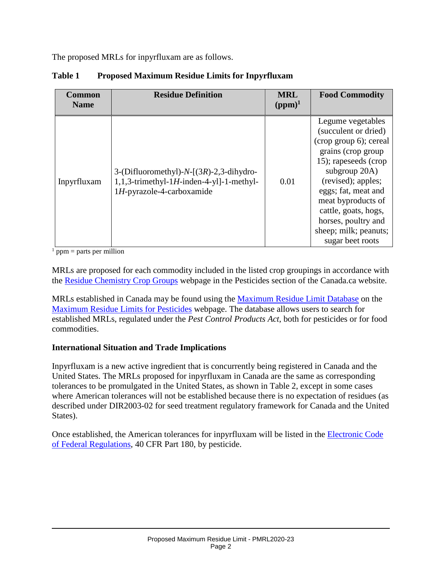The proposed MRLs for inpyrfluxam are as follows.

| <b>Common</b><br><b>Name</b> | <b>Residue Definition</b>                                                                                                 | <b>MRL</b><br>$(ppm)^1$ | <b>Food Commodity</b>                                                                                                                                                                                                                                                                             |
|------------------------------|---------------------------------------------------------------------------------------------------------------------------|-------------------------|---------------------------------------------------------------------------------------------------------------------------------------------------------------------------------------------------------------------------------------------------------------------------------------------------|
| Inpyrfluxam                  | 3-(Difluoromethyl)- $N-[3R)-2,3$ -dihydro-<br>$1,1,3$ -trimethyl-1H-inden-4-yl]-1-methyl-<br>$1H$ -pyrazole-4-carboxamide | 0.01                    | Legume vegetables<br>(succulent or dried)<br>(crop group 6); cereal<br>grains (crop group<br>15); rapeseeds (crop<br>subgroup 20A)<br>(revised); apples;<br>eggs; fat, meat and<br>meat byproducts of<br>cattle, goats, hogs,<br>horses, poultry and<br>sheep; milk; peanuts;<br>sugar beet roots |

### **Table 1 Proposed Maximum Residue Limits for Inpyrfluxam**

 $<sup>1</sup>$  ppm = parts per million</sup>

MRLs are proposed for each commodity included in the listed crop groupings in accordance with the [Residue Chemistry Crop Groups](https://www.canada.ca/en/health-canada/services/consumer-product-safety/pesticides-pest-management/public/protecting-your-health-environment/pesticides-food/residue-chemistry-crop-groups.html) webpage in the Pesticides section of the Canada.ca website.

MRLs established in Canada may be found using the [Maximum Residue Limit Database](http://pr-rp.hc-sc.gc.ca/mrl-lrm/index-eng.php) on the [Maximum Residue Limits for Pesticides](https://www.canada.ca/en/health-canada/services/consumer-product-safety/pesticides-pest-management/public/protecting-your-health-environment/pesticides-food/maximum-residue-limits-pesticides.html) webpage. The database allows users to search for established MRLs, regulated under the *Pest Control Products Act*, both for pesticides or for food commodities.

#### **International Situation and Trade Implications**

Inpyrfluxam is a new active ingredient that is concurrently being registered in Canada and the United States. The MRLs proposed for inpyrfluxam in Canada are the same as corresponding tolerances to be promulgated in the United States, as shown in Table 2, except in some cases where American tolerances will not be established because there is no expectation of residues (as described under DIR2003-02 for seed treatment regulatory framework for Canada and the United States).

Once established, the American tolerances for inpyrfluxam will be listed in the **Electronic Code** [of Federal Regulations,](http://www.ecfr.gov/cgi-bin/retrieveECFR?gp=1&SID=ffae5f82b935173c30cb6e67e1ba3811&ty=HTML&h=L&n=pt40.24.180&r=PART) 40 CFR Part 180, by pesticide.